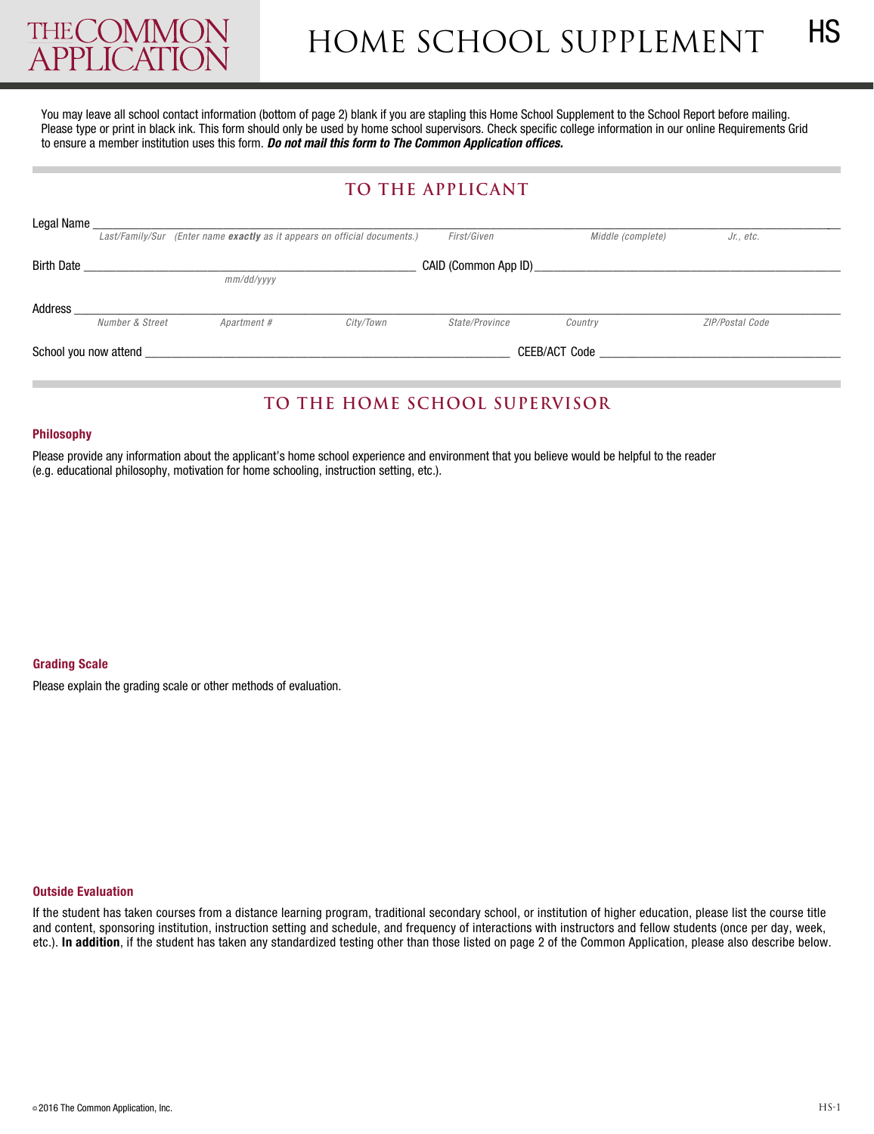

You may leave all school contact information (bottom of page 2) blank if you are stapling this Home School Supplement to the School Report before mailing. Please type or print in black ink. This form should only be used by home school supervisors. Check specific college information in our online Requirements Grid to ensure a member institution uses this form. *Do not mail this form to The Common Application offices.* 

## **TO THE applicanT**

| Legal Name            |                                    |                                                                           |                |                   |                 |  |  |  |
|-----------------------|------------------------------------|---------------------------------------------------------------------------|----------------|-------------------|-----------------|--|--|--|
|                       |                                    | Last/Family/Sur (Enter name exactly as it appears on official documents.) | First/Given    | Middle (complete) | Jr., etc.       |  |  |  |
| <b>Birth Date</b>     | CAID (Common App ID)<br>mm/dd/vvvv |                                                                           |                |                   |                 |  |  |  |
| Address               | Number & Street                    | Apartment #<br>City/Town                                                  | State/Province | Country           | ZIP/Postal Code |  |  |  |
| School you now attend |                                    |                                                                           |                | CEEB/ACT Code     |                 |  |  |  |

# **TO THE HOmE scHOOl supErvisOr**

#### **Philosophy**

Please provide any information about the applicant's home school experience and environment that you believe would be helpful to the reader (e.g. educational philosophy, motivation for home schooling, instruction setting, etc.).

### **Grading Scale**

Please explain the grading scale or other methods of evaluation.

#### **Outside Evaluation**

If the student has taken courses from a distance learning program, traditional secondary school, or institution of higher education, please list the course title and content, sponsoring institution, instruction setting and schedule, and frequency of interactions with instructors and fellow students (once per day, week, etc.). **In addition**, if the student has taken any standardized testing other than those listed on page 2 of the Common Application, please also describe below.